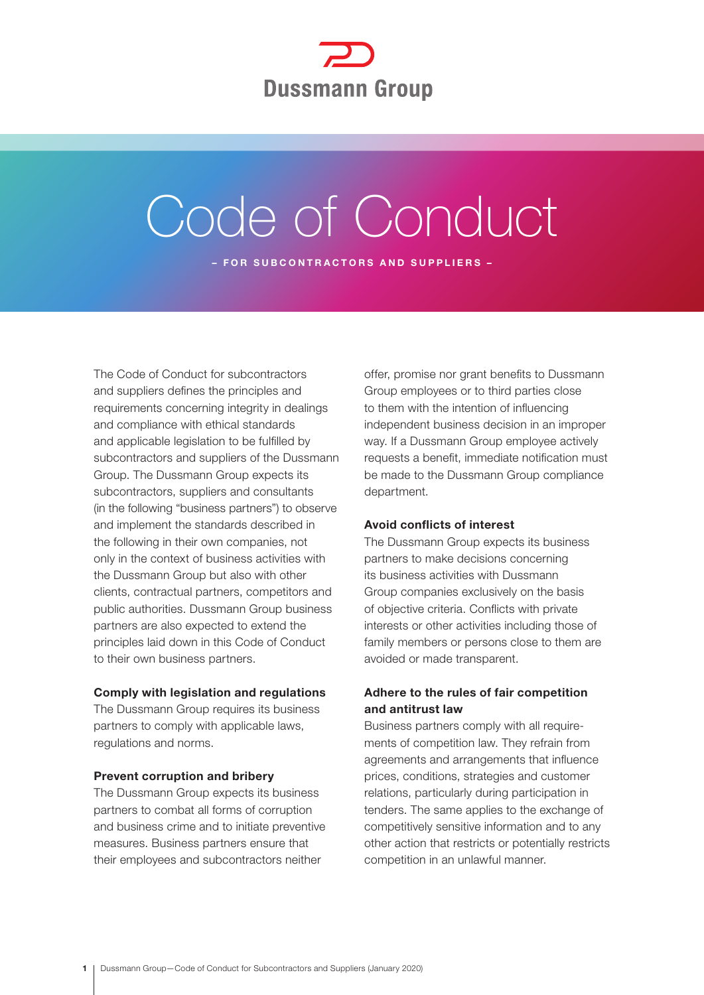

# Code of Conduct

– FOR SUBCONTRACTORS AND SUPPLIERS –

The Code of Conduct for subcontractors and suppliers defines the principles and requirements concerning integrity in dealings and compliance with ethical standards and applicable legislation to be fulfilled by subcontractors and suppliers of the Dussmann Group. The Dussmann Group expects its subcontractors, suppliers and consultants (in the following "business partners") to observe and implement the standards described in the following in their own companies, not only in the context of business activities with the Dussmann Group but also with other clients, contractual partners, competitors and public authorities. Dussmann Group business partners are also expected to extend the principles laid down in this Code of Conduct to their own business partners.

## Comply with legislation and regulations

The Dussmann Group requires its business partners to comply with applicable laws, regulations and norms.

#### Prevent corruption and bribery

The Dussmann Group expects its business partners to combat all forms of corruption and business crime and to initiate preventive measures. Business partners ensure that their employees and subcontractors neither

offer, promise nor grant benefits to Dussmann Group employees or to third parties close to them with the intention of influencing independent business decision in an improper way. If a Dussmann Group employee actively requests a benefit, immediate notification must be made to the Dussmann Group compliance department.

## Avoid conflicts of interest

The Dussmann Group expects its business partners to make decisions concerning its business activities with Dussmann Group companies exclusively on the basis of objective criteria. Conflicts with private interests or other activities including those of family members or persons close to them are avoided or made transparent.

# Adhere to the rules of fair competition and antitrust law

Business partners comply with all requirements of competition law. They refrain from agreements and arrangements that influence prices, conditions, strategies and customer relations, particularly during participation in tenders. The same applies to the exchange of competitively sensitive information and to any other action that restricts or potentially restricts competition in an unlawful manner.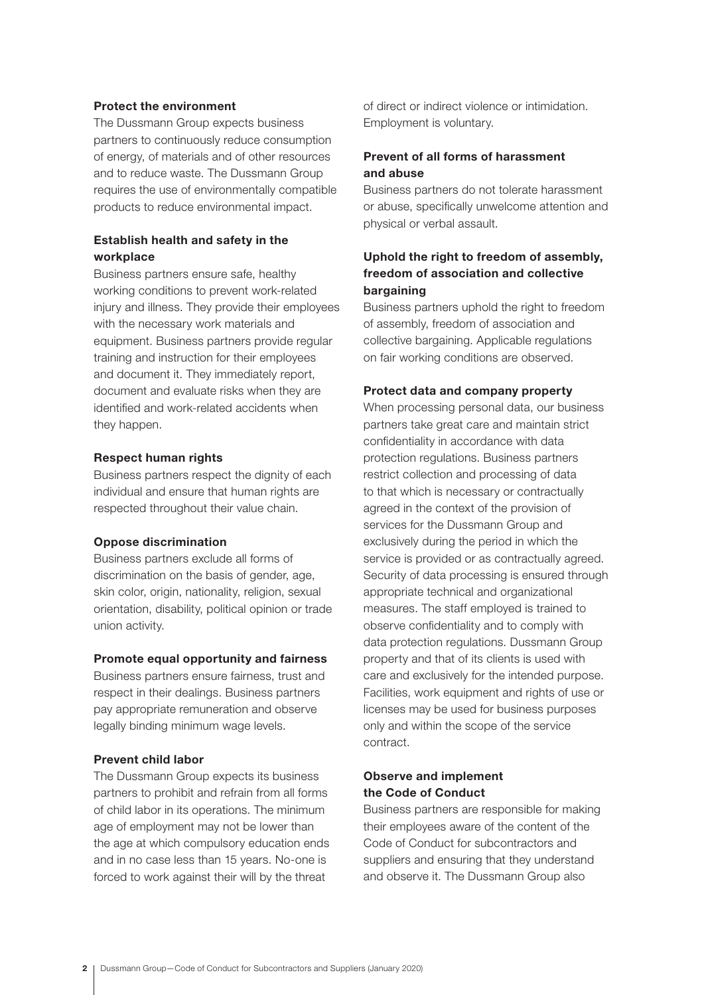## Protect the environment

The Dussmann Group expects business partners to continuously reduce consumption of energy, of materials and of other resources and to reduce waste. The Dussmann Group requires the use of environmentally compatible products to reduce environmental impact.

# Establish health and safety in the workplace

Business partners ensure safe, healthy working conditions to prevent work-related injury and illness. They provide their employees with the necessary work materials and equipment. Business partners provide regular training and instruction for their employees and document it. They immediately report, document and evaluate risks when they are identified and work-related accidents when they happen.

#### Respect human rights

Business partners respect the dignity of each individual and ensure that human rights are respected throughout their value chain.

#### Oppose discrimination

Business partners exclude all forms of discrimination on the basis of gender, age, skin color, origin, nationality, religion, sexual orientation, disability, political opinion or trade union activity.

#### Promote equal opportunity and fairness

Business partners ensure fairness, trust and respect in their dealings. Business partners pay appropriate remuneration and observe legally binding minimum wage levels.

## Prevent child labor

The Dussmann Group expects its business partners to prohibit and refrain from all forms of child labor in its operations. The minimum age of employment may not be lower than the age at which compulsory education ends and in no case less than 15 years. No-one is forced to work against their will by the threat

of direct or indirect violence or intimidation. Employment is voluntary.

## Prevent of all forms of harassment and abuse

Business partners do not tolerate harassment or abuse, specifically unwelcome attention and physical or verbal assault.

# Uphold the right to freedom of assembly, freedom of association and collective bargaining

Business partners uphold the right to freedom of assembly, freedom of association and collective bargaining. Applicable regulations on fair working conditions are observed.

#### Protect data and company property

When processing personal data, our business partners take great care and maintain strict confidentiality in accordance with data protection regulations. Business partners restrict collection and processing of data to that which is necessary or contractually agreed in the context of the provision of services for the Dussmann Group and exclusively during the period in which the service is provided or as contractually agreed. Security of data processing is ensured through appropriate technical and organizational measures. The staff employed is trained to observe confidentiality and to comply with data protection regulations. Dussmann Group property and that of its clients is used with care and exclusively for the intended purpose. Facilities, work equipment and rights of use or licenses may be used for business purposes only and within the scope of the service contract.

## Observe and implement the Code of Conduct

Business partners are responsible for making their employees aware of the content of the Code of Conduct for subcontractors and suppliers and ensuring that they understand and observe it. The Dussmann Group also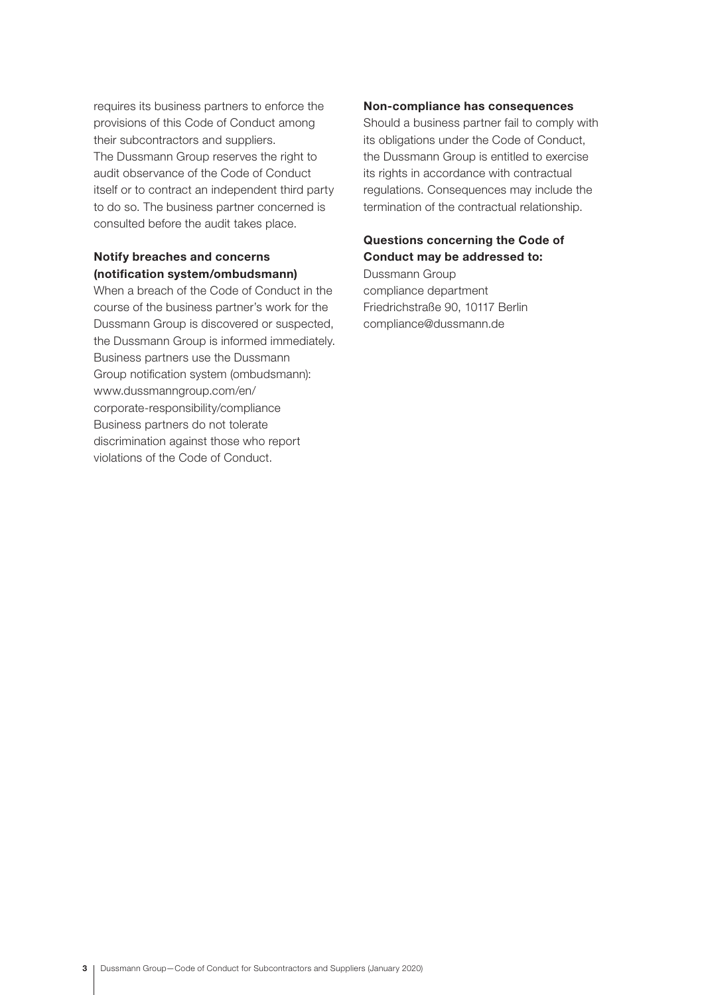requires its business partners to enforce the provisions of this Code of Conduct among their subcontractors and suppliers. The Dussmann Group reserves the right to audit observance of the Code of Conduct itself or to contract an independent third party to do so. The business partner concerned is consulted before the audit takes place.

# Notify breaches and concerns (notification system/ombudsmann)

When a breach of the Code of Conduct in the course of the business partner's work for the Dussmann Group is discovered or suspected, the Dussmann Group is informed immediately. Business partners use the Dussmann Group notification system (ombudsmann): www.dussmanngroup.com/en/ corporate-responsibility/compliance Business partners do not tolerate discrimination against those who report violations of the Code of Conduct.

## Non-compliance has consequences

Should a business partner fail to comply with its obligations under the Code of Conduct, the Dussmann Group is entitled to exercise its rights in accordance with contractual regulations. Consequences may include the termination of the contractual relationship.

# Questions concerning the Code of Conduct may be addressed to:

Dussmann Group compliance department Friedrichstraße 90, 10117 Berlin compliance@dussmann.de